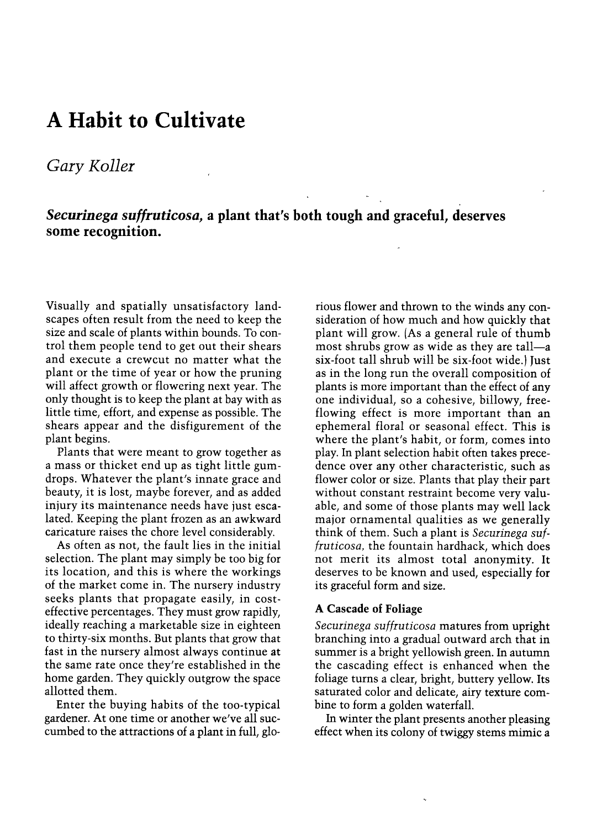# A Habit to Cultivate

## Gary Koller

## Securinega suffruticosa, a plant that's both tough and graceful, deserves some recognition.

Visually and spatially unsatisfactory landscapes often result from the need to keep the size and scale of plants within bounds. To control them people tend to get out their shears and execute a crewcut no matter what the plant or the time of year or how the pruning will affect growth or flowering next year. The only thought is to keep the plant at bay with as little time, effort, and expense as possible. The shears appear and the disfigurement of the plant begins.

Plants that were meant to grow together as a mass or thicket end up as tight little gumdrops. Whatever the plant's innate grace and beauty, it is lost, maybe forever, and as added injury its maintenance needs have just escalated. Keeping the plant frozen as an awkward caricature raises the chore level considerably.

As often as not, the fault lies in the initial selection. The plant may simply be too big for its location, and this is where the workings of the market come in. The nursery industry seeks plants that propagate easily, in costeffective percentages. They must grow rapidly, ideally reaching a marketable size in eighteen to thirty-six months. But plants that grow that fast in the nursery almost always continue at the same rate once they're established in the home garden. They quickly outgrow the space allotted them.

Enter the buying habits of the too-typical gardener. At one time or another we've all succumbed to the attractions of a plant in full, glorious flower and thrown to the winds any consideration of how much and how quickly that plant will grow. (As a general rule of thumb most shrubs grow as wide as they are tall-a six-foot tall shrub will be six-foot wide.) Just as in the long run the overall composition of plants is more important than the effect of any one individual, so a cohesive, billowy, freeflowing effect is more important than an ephemeral floral or seasonal effect. This is where the plant's habit, or form, comes into play. In plant selection habit often takes precedence over any other characteristic, such as flower color or size. Plants that play their part without constant restraint become very valuable, and some of those plants may well lack major ornamental qualities as we generally think of them. Such a plant is Securinega suffruticosa, the fountain hardhack, which does not merit its almost total anonymity. It deserves to be known and used, especially for its graceful form and size.

#### A Cascade of Foliage

Securinega suffruticosa matures from upright branching into a gradual outward arch that in summer is a bright yellowish green. In autumn the cascading effect is enhanced when the foliage turns a clear, bright, buttery yellow. Its saturated color and delicate, airy texture com-

bine to form a golden waterfall.<br>In winter the plant presents another pleasing effect when its colony of twiggy stems mimic a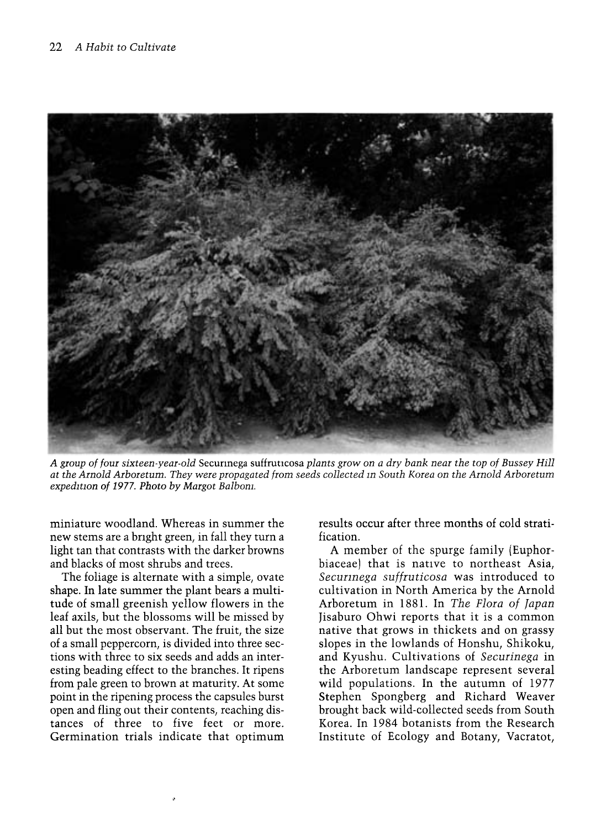

A group of four sixteen-year-old Secunnega suffruticosa plants grow on a dry bank near the top of Bussey Hill at the Arnold Arboretum. They were propagated from seeds collected m South Korea on the Arnold Arboretum expedition of 1977. Photo by Margot Balbom.

miniature woodland. Whereas in summer the new stems are a bright green, in fall they turn a light tan that contrasts with the darker browns and blacks of most shrubs and trees.

The foliage is alternate with a simple, ovate shape. In late summer the plant bears a multitude of small greenish yellow flowers in the leaf axils, but the blossoms will be missed by all but the most observant. The fruit, the size of a small peppercorn, is divided into three sections with three to six seeds and adds an interesting beading effect to the branches. It ripens from pale green to brown at maturity. At some point in the ripening process the capsules burst open and fling out their contents, reaching distances of three to five feet or more. Germination trials indicate that optimum

results occur after three months of cold stratification.

A member of the spurge family (Euphorbiaceae) that is native to northeast Asia, Securinega suffruticosa was introduced to cultivation in North America by the Arnold Arboretum in 1881. In The Flora of Japan Jisaburo Ohwi reports that it is a common native that grows in thickets and on grassy slopes in the lowlands of Honshu, Shikoku, and Kyushu. Cultivations of Securinega in the Arboretum landscape represent several wild populations. In the autumn of 1977 Stephen Spongberg and Richard Weaver brought back wild-collected seeds from South Korea. In 1984 botanists from the Research Institute of Ecology and Botany, Vacratot,